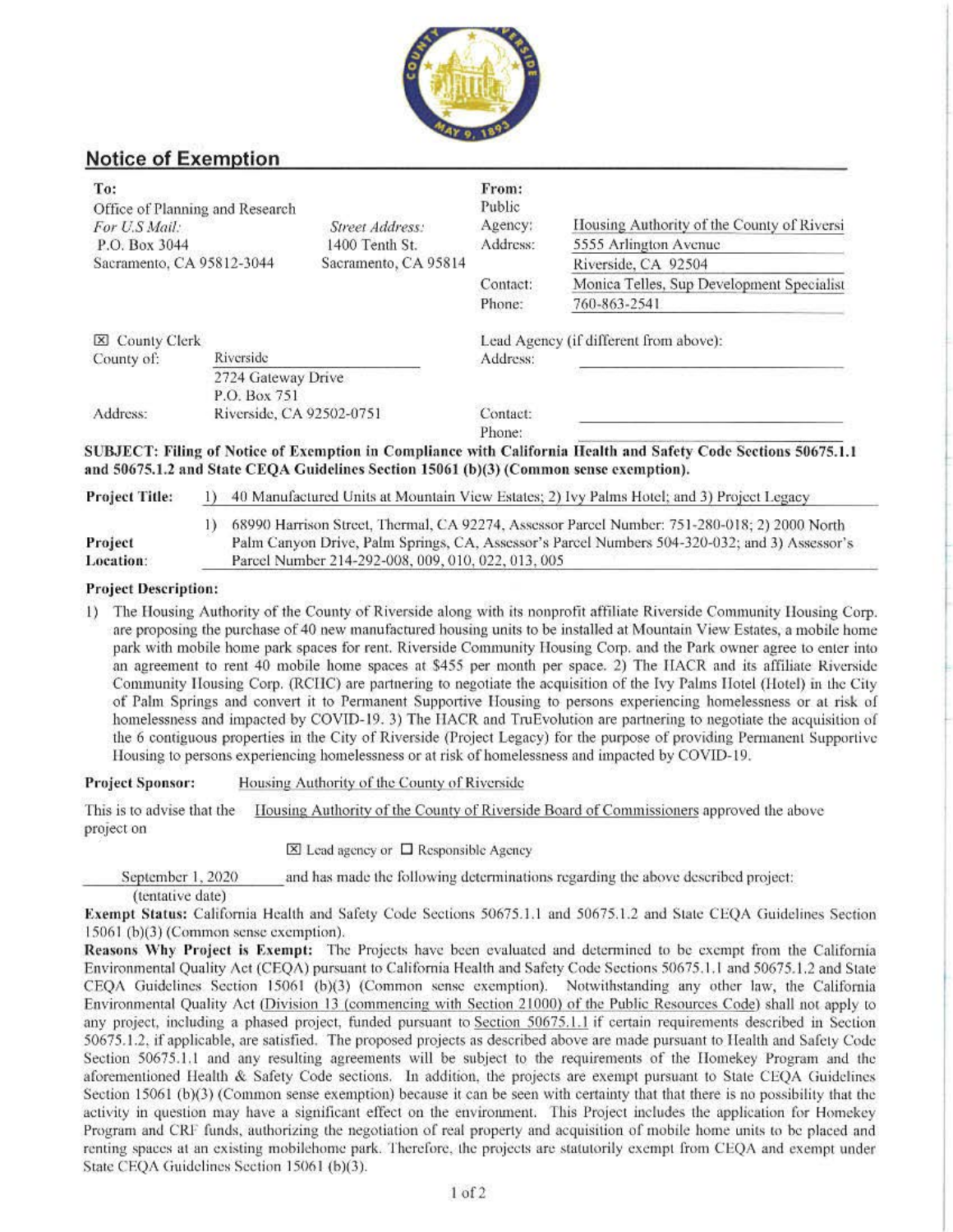

### **Notice of Exemption**

| To:                                       | Office of Planning and Research                                                           |                                                                                        | From:<br>Public                                    |                                                                                                                |  |
|-------------------------------------------|-------------------------------------------------------------------------------------------|----------------------------------------------------------------------------------------|----------------------------------------------------|----------------------------------------------------------------------------------------------------------------|--|
| For U.S Mail:<br>P.O. Box 3044            |                                                                                           | Street Address:<br>1400 Tenth St.<br>Sacramento, CA 95814                              | Agency:<br>Address:                                | Housing Authority of the County of Riversi                                                                     |  |
|                                           |                                                                                           |                                                                                        |                                                    | 5555 Arlington Avenue                                                                                          |  |
| Sacramento, CA 95812-3044                 |                                                                                           |                                                                                        |                                                    | Riverside, CA 92504                                                                                            |  |
|                                           |                                                                                           |                                                                                        | Contact:                                           | Monica Telles, Sup Development Specialist                                                                      |  |
|                                           |                                                                                           |                                                                                        | Phone:                                             | 760-863-2541                                                                                                   |  |
| X County Clerk<br>Riverside<br>County of: |                                                                                           |                                                                                        | Lead Agency (if different from above):<br>Address: |                                                                                                                |  |
|                                           | 2724 Gateway Drive<br>P.O. Box 751                                                        |                                                                                        |                                                    |                                                                                                                |  |
| Address:                                  | Riverside, CA 92502-0751                                                                  |                                                                                        | Contact:<br>Phone:                                 |                                                                                                                |  |
|                                           |                                                                                           | and 50675.1.2 and State CEQA Guidelines Section 15061 (b)(3) (Common sense exemption). |                                                    | SUBJECT: Filing of Notice of Exemption in Compliance with California Health and Safety Code Sections 50675.1.1 |  |
| <b>Project Title:</b>                     | 40 Manufactured Units at Mountain View Estates; 2) Ivy Palms Hotel; and 3) Project Legacy |                                                                                        |                                                    |                                                                                                                |  |

**Location:**  I) 68990 Harrison Street, Thcmrnl, CA 92274, Assessor Parcel Number: 751 -280-0 18; 2) 2000 North Palm Canyon Urive, Palm Springs, CA, Assessor's Parcel Numbers 504-320-032; and 3) Assessor's Parcel Number 214-292-008, 009, 010, 022, 013, 005

#### **Project Description:**

**Project** 

I) The Housing Authority of the Couuty of Riverside along wirh its nonprofit affiliate Riverside Conummity [lousing Corp. are proposing the purchase of 40 new manufactured housing units to be installed at Mountain View Estates, a mobile home park with mobile home park spaces for rent. Riverside Community Housing Corp. and the Park owner agree to enter into an agreement to rent 40 mobile home spaces at \$455 per month per space. 2) The JIACR and its affiliate Riverside Community Housing Corp. (RCHC) are partnering to negotiate the acquisition of the Ivy Palms Hotel (Hotel) in the City of Palm Springs and convert it to Permanent Supportive Housing to persons experiencing homelessness or at risk of homelessness and impacted by COVID-19. 3) The HACR and TruEvolution are partnering to negotiate the acquisition of the 6 contiguous properties in the City of Riverside (Project Legacy) for the purpose of providing Permanent Supportive Housing to persons experiencing homelessness or at risk of homelessness and impacted by COVID-19.

**Project Sponsor:** Housing Authority of the County of Riverside

This is to advise that the Housing Authority of the County of Riverside Board of Commissioners approved the above project on

**f8J lead agency or D Responsible Agency** 

September 1, 2020 and has made the following determinations regarding the above described project:

(tentative date)

**Exempt Status:** California Health and Safety Code Sections 50675.1.1 and 50675.1.2 and State CEOA Guidelines Section  $15061$  (b)(3) (Common sense exemption).

**Reasons Why Project is Exempt:** The Projects have been evaluated and determined to be exempt from the California Environmental Quality Act (CEQA) pursuant to California Health and Safety Code Sections 50675.1.1 and 50675.1.2 and State CEQA Guidelines Section 15061 (b)(3) (Common sense exemption). Notwithstanding any other law, the Califomia Environmental Quality Act (Division 13 (commencing with Section 21000) of the Public Resources Code) shall not apply to any project, including a phased project, funded pursuant to Section 50675.1.1 if certain requirements described in Section 50675.J .2, if applicable, are satisfied. The proposed projects as described above are made pursuant to Ilealth and Safety Code Section 50675.1.1 and any resulting agreements will be subject to the requirements of the llomekey Program and the aforementioned Health & Safety Code sections. In addition, the projects are exempt pursuant to State CEQA Guidelines Section  $15061$  (b)(3) (Common sense exemption) because it can be seen with certainty that that there is no possibility that the **ac1ivily in question may have a significant effect on the e-nviro1unem. This Project includes the applica1ion for Homekey Program and CRF funds, authorizing the negotiation of real properl)' and acquisition of mobile home units to he placed nnd renting spaces at an existing mobilehome park.** Therefore, the projects are statutorily exempt from CEQA and exempt under State CEOA Guidelines Section 15061 (b)(3).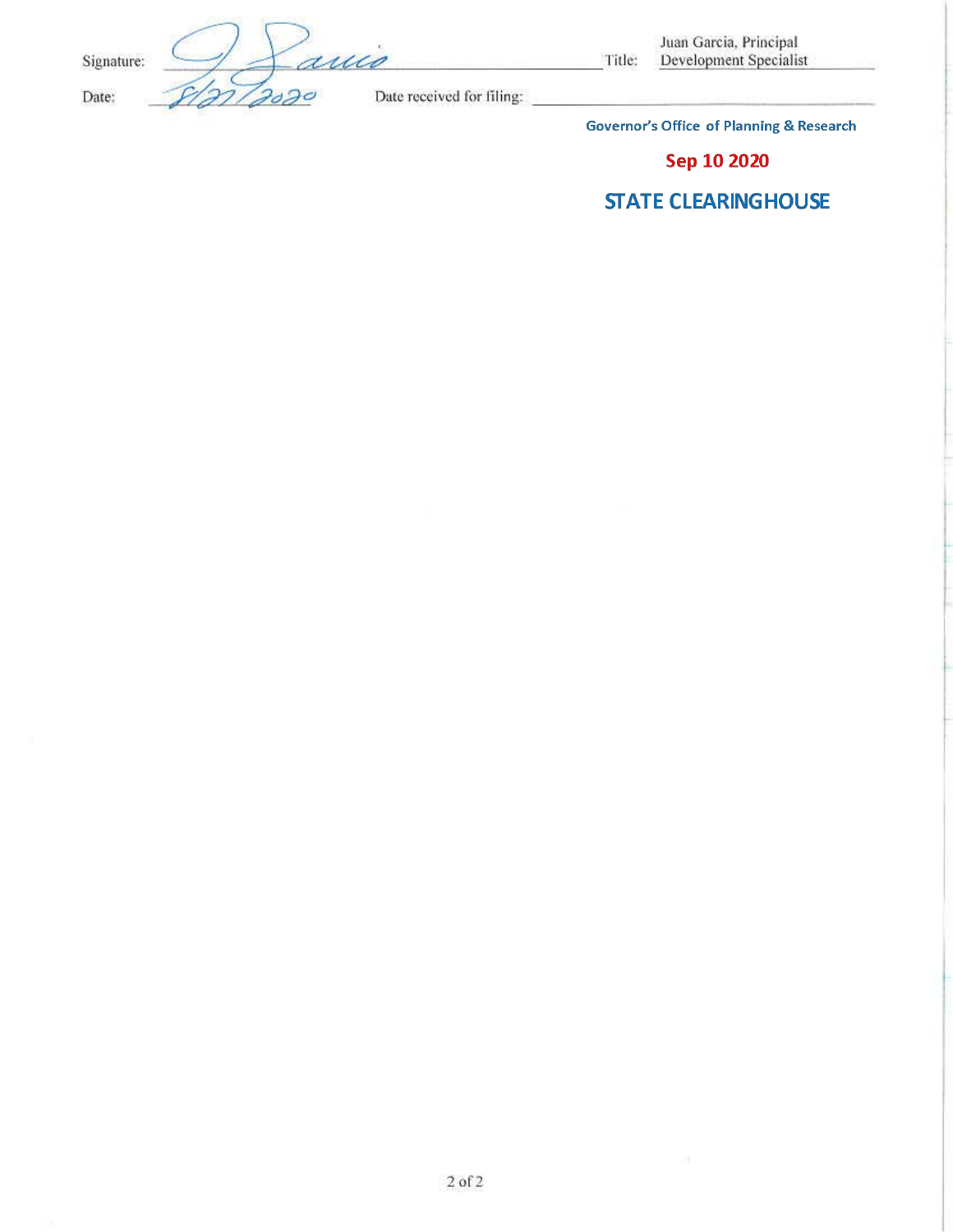Signature:

Date:

2020

Juan Garcia, Principal Development Specialist Title:

Date received for filing:

**Governor's Office of Planning & Research** 

Sep 10 2020

# **STATE CLEARINGHOUSE**